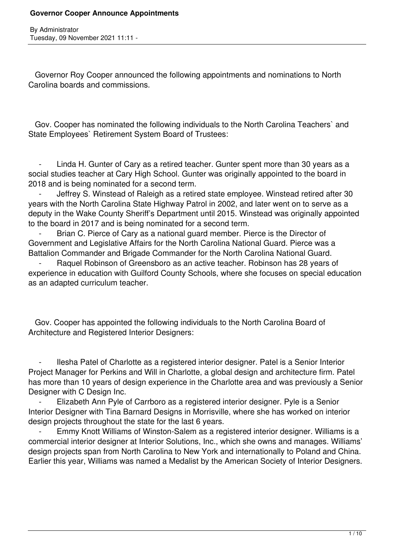Governor Roy Cooper announced the following appointments and nominations to North Carolina boards and commissions.

 Gov. Cooper has nominated the following individuals to the North Carolina Teachers` and State Employees` Retirement System Board of Trustees:

Linda H. Gunter of Cary as a retired teacher. Gunter spent more than 30 years as a social studies teacher at Cary High School. Gunter was originally appointed to the board in 2018 and is being nominated for a second term.

Jeffrey S. Winstead of Raleigh as a retired state employee. Winstead retired after 30 years with the North Carolina State Highway Patrol in 2002, and later went on to serve as a deputy in the Wake County Sheriff's Department until 2015. Winstead was originally appointed to the board in 2017 and is being nominated for a second term.

Brian C. Pierce of Cary as a national guard member. Pierce is the Director of Government and Legislative Affairs for the North Carolina National Guard. Pierce was a Battalion Commander and Brigade Commander for the North Carolina National Guard.

Raquel Robinson of Greensboro as an active teacher. Robinson has 28 years of experience in education with Guilford County Schools, where she focuses on special education as an adapted curriculum teacher.

 Gov. Cooper has appointed the following individuals to the North Carolina Board of Architecture and Registered Interior Designers:

Ilesha Patel of Charlotte as a registered interior designer. Patel is a Senior Interior Project Manager for Perkins and Will in Charlotte, a global design and architecture firm. Patel has more than 10 years of design experience in the Charlotte area and was previously a Senior Designer with C Design Inc.

Elizabeth Ann Pyle of Carrboro as a registered interior designer. Pyle is a Senior Interior Designer with Tina Barnard Designs in Morrisville, where she has worked on interior design projects throughout the state for the last 6 years.

Emmy Knott Williams of Winston-Salem as a registered interior designer. Williams is a commercial interior designer at Interior Solutions, Inc., which she owns and manages. Williams' design projects span from North Carolina to New York and internationally to Poland and China. Earlier this year, Williams was named a Medalist by the American Society of Interior Designers.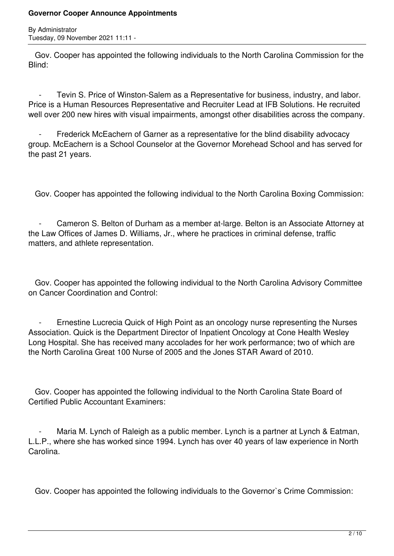By Administrator Tuesday, 09 November 2021 11:11 -

 Gov. Cooper has appointed the following individuals to the North Carolina Commission for the Blind:

Tevin S. Price of Winston-Salem as a Representative for business, industry, and labor. Price is a Human Resources Representative and Recruiter Lead at IFB Solutions. He recruited well over 200 new hires with visual impairments, amongst other disabilities across the company.

Frederick McEachern of Garner as a representative for the blind disability advocacy group. McEachern is a School Counselor at the Governor Morehead School and has served for the past 21 years.

Gov. Cooper has appointed the following individual to the North Carolina Boxing Commission:

 - Cameron S. Belton of Durham as a member at-large. Belton is an Associate Attorney at the Law Offices of James D. Williams, Jr., where he practices in criminal defense, traffic matters, and athlete representation.

 Gov. Cooper has appointed the following individual to the North Carolina Advisory Committee on Cancer Coordination and Control:

Ernestine Lucrecia Quick of High Point as an oncology nurse representing the Nurses Association. Quick is the Department Director of Inpatient Oncology at Cone Health Wesley Long Hospital. She has received many accolades for her work performance; two of which are the North Carolina Great 100 Nurse of 2005 and the Jones STAR Award of 2010.

 Gov. Cooper has appointed the following individual to the North Carolina State Board of Certified Public Accountant Examiners:

Maria M. Lynch of Raleigh as a public member. Lynch is a partner at Lynch & Eatman, L.L.P., where she has worked since 1994. Lynch has over 40 years of law experience in North Carolina.

Gov. Cooper has appointed the following individuals to the Governor`s Crime Commission: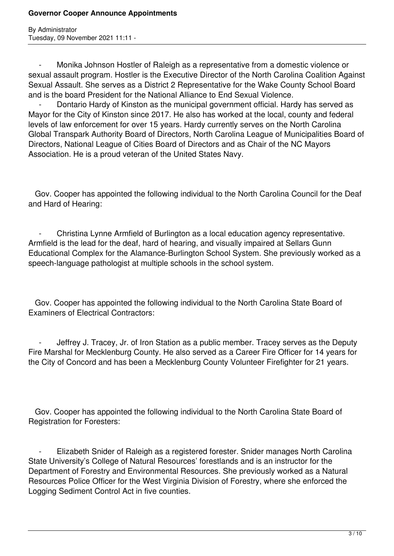Monika Johnson Hostler of Raleigh as a representative from a domestic violence or sexual assault program. Hostler is the Executive Director of the North Carolina Coalition Against Sexual Assault. She serves as a District 2 Representative for the Wake County School Board and is the board President for the National Alliance to End Sexual Violence.

Dontario Hardy of Kinston as the municipal government official. Hardy has served as Mayor for the City of Kinston since 2017. He also has worked at the local, county and federal levels of law enforcement for over 15 years. Hardy currently serves on the North Carolina Global Transpark Authority Board of Directors, North Carolina League of Municipalities Board of Directors, National League of Cities Board of Directors and as Chair of the NC Mayors Association. He is a proud veteran of the United States Navy.

 Gov. Cooper has appointed the following individual to the North Carolina Council for the Deaf and Hard of Hearing:

 - Christina Lynne Armfield of Burlington as a local education agency representative. Armfield is the lead for the deaf, hard of hearing, and visually impaired at Sellars Gunn Educational Complex for the Alamance-Burlington School System. She previously worked as a speech-language pathologist at multiple schools in the school system.

 Gov. Cooper has appointed the following individual to the North Carolina State Board of Examiners of Electrical Contractors:

Jeffrey J. Tracey, Jr. of Iron Station as a public member. Tracey serves as the Deputy Fire Marshal for Mecklenburg County. He also served as a Career Fire Officer for 14 years for the City of Concord and has been a Mecklenburg County Volunteer Firefighter for 21 years.

 Gov. Cooper has appointed the following individual to the North Carolina State Board of Registration for Foresters:

 - Elizabeth Snider of Raleigh as a registered forester. Snider manages North Carolina State University's College of Natural Resources' forestlands and is an instructor for the Department of Forestry and Environmental Resources. She previously worked as a Natural Resources Police Officer for the West Virginia Division of Forestry, where she enforced the Logging Sediment Control Act in five counties.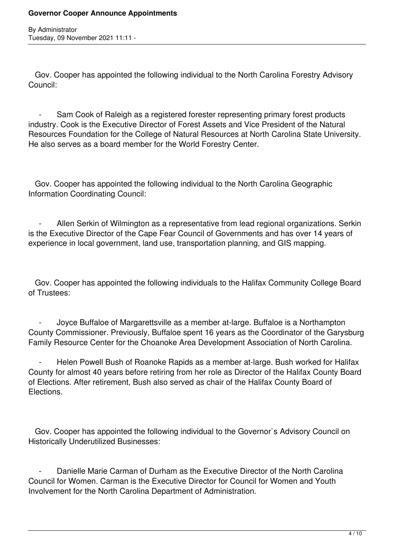Gov. Cooper has appointed the following individual to the North Carolina Forestry Advisory Council:

Sam Cook of Raleigh as a registered forester representing primary forest products industry. Cook is the Executive Director of Forest Assets and Vice President of the Natural Resources Foundation for the College of Natural Resources at North Carolina State University. He also serves as a board member for the World Forestry Center.

 Gov. Cooper has appointed the following individual to the North Carolina Geographic Information Coordinating Council:

Allen Serkin of Wilmington as a representative from lead regional organizations. Serkin is the Executive Director of the Cape Fear Council of Governments and has over 14 years of experience in local government, land use, transportation planning, and GIS mapping.

 Gov. Cooper has appointed the following individuals to the Halifax Community College Board of Trustees:

 - Joyce Buffaloe of Margarettsville as a member at-large. Buffaloe is a Northampton County Commissioner. Previously, Buffaloe spent 16 years as the Coordinator of the Garysburg Family Resource Center for the Choanoke Area Development Association of North Carolina.

Helen Powell Bush of Roanoke Rapids as a member at-large. Bush worked for Halifax County for almost 40 years before retiring from her role as Director of the Halifax County Board of Elections. After retirement, Bush also served as chair of the Halifax County Board of Elections.

 Gov. Cooper has appointed the following individual to the Governor`s Advisory Council on Historically Underutilized Businesses:

 - Danielle Marie Carman of Durham as the Executive Director of the North Carolina Council for Women. Carman is the Executive Director for Council for Women and Youth Involvement for the North Carolina Department of Administration.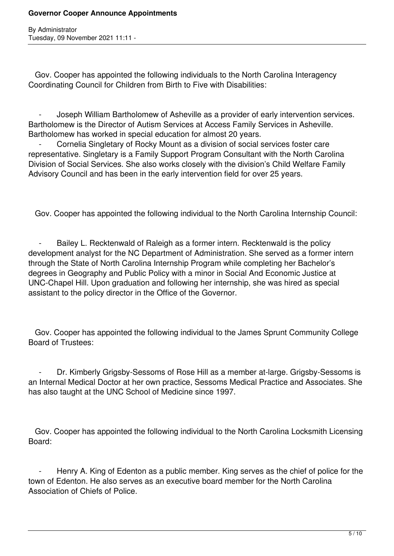By Administrator Tuesday, 09 November 2021 11:11 -

 Gov. Cooper has appointed the following individuals to the North Carolina Interagency Coordinating Council for Children from Birth to Five with Disabilities:

Joseph William Bartholomew of Asheville as a provider of early intervention services. Bartholomew is the Director of Autism Services at Access Family Services in Asheville. Bartholomew has worked in special education for almost 20 years.

Cornelia Singletary of Rocky Mount as a division of social services foster care representative. Singletary is a Family Support Program Consultant with the North Carolina Division of Social Services. She also works closely with the division's Child Welfare Family Advisory Council and has been in the early intervention field for over 25 years.

Gov. Cooper has appointed the following individual to the North Carolina Internship Council:

Bailey L. Recktenwald of Raleigh as a former intern. Recktenwald is the policy development analyst for the NC Department of Administration. She served as a former intern through the State of North Carolina Internship Program while completing her Bachelor's degrees in Geography and Public Policy with a minor in Social And Economic Justice at UNC-Chapel Hill. Upon graduation and following her internship, she was hired as special assistant to the policy director in the Office of the Governor.

 Gov. Cooper has appointed the following individual to the James Sprunt Community College Board of Trustees:

 - Dr. Kimberly Grigsby-Sessoms of Rose Hill as a member at-large. Grigsby-Sessoms is an Internal Medical Doctor at her own practice, Sessoms Medical Practice and Associates. She has also taught at the UNC School of Medicine since 1997.

 Gov. Cooper has appointed the following individual to the North Carolina Locksmith Licensing Board:

Henry A. King of Edenton as a public member. King serves as the chief of police for the town of Edenton. He also serves as an executive board member for the North Carolina Association of Chiefs of Police.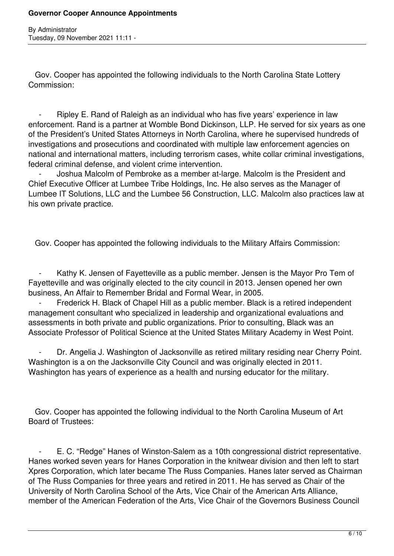By Administrator Tuesday, 09 November 2021 11:11 -

 Gov. Cooper has appointed the following individuals to the North Carolina State Lottery Commission:

Ripley E. Rand of Raleigh as an individual who has five years' experience in law enforcement. Rand is a partner at Womble Bond Dickinson, LLP. He served for six years as one of the President's United States Attorneys in North Carolina, where he supervised hundreds of investigations and prosecutions and coordinated with multiple law enforcement agencies on national and international matters, including terrorism cases, white collar criminal investigations, federal criminal defense, and violent crime intervention.

Joshua Malcolm of Pembroke as a member at-large. Malcolm is the President and Chief Executive Officer at Lumbee Tribe Holdings, Inc. He also serves as the Manager of Lumbee IT Solutions, LLC and the Lumbee 56 Construction, LLC. Malcolm also practices law at his own private practice.

Gov. Cooper has appointed the following individuals to the Military Affairs Commission:

Kathy K. Jensen of Fayetteville as a public member. Jensen is the Mayor Pro Tem of Fayetteville and was originally elected to the city council in 2013. Jensen opened her own business, An Affair to Remember Bridal and Formal Wear, in 2005.

Frederick H. Black of Chapel Hill as a public member. Black is a retired independent management consultant who specialized in leadership and organizational evaluations and assessments in both private and public organizations. Prior to consulting, Black was an Associate Professor of Political Science at the United States Military Academy in West Point.

Dr. Angelia J. Washington of Jacksonville as retired military residing near Cherry Point. Washington is a on the Jacksonville City Council and was originally elected in 2011. Washington has years of experience as a health and nursing educator for the military.

 Gov. Cooper has appointed the following individual to the North Carolina Museum of Art Board of Trustees:

 - E. C. "Redge" Hanes of Winston-Salem as a 10th congressional district representative. Hanes worked seven years for Hanes Corporation in the knitwear division and then left to start Xpres Corporation, which later became The Russ Companies. Hanes later served as Chairman of The Russ Companies for three years and retired in 2011. He has served as Chair of the University of North Carolina School of the Arts, Vice Chair of the American Arts Alliance, member of the American Federation of the Arts, Vice Chair of the Governors Business Council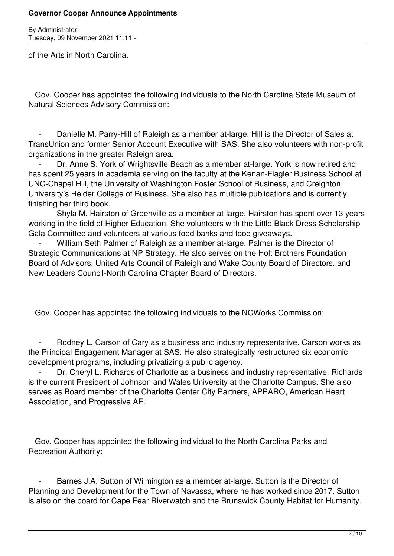By Administrator Tuesday, 09 November 2021 11:11 -

of the Arts in North Carolina.

 Gov. Cooper has appointed the following individuals to the North Carolina State Museum of Natural Sciences Advisory Commission:

Danielle M. Parry-Hill of Raleigh as a member at-large. Hill is the Director of Sales at TransUnion and former Senior Account Executive with SAS. She also volunteers with non-profit organizations in the greater Raleigh area.

Dr. Anne S. York of Wrightsville Beach as a member at-large. York is now retired and has spent 25 years in academia serving on the faculty at the Kenan-Flagler Business School at UNC-Chapel Hill, the University of Washington Foster School of Business, and Creighton University's Heider College of Business. She also has multiple publications and is currently finishing her third book.

 - Shyla M. Hairston of Greenville as a member at-large. Hairston has spent over 13 years working in the field of Higher Education. She volunteers with the Little Black Dress Scholarship Gala Committee and volunteers at various food banks and food giveaways.

William Seth Palmer of Raleigh as a member at-large. Palmer is the Director of Strategic Communications at NP Strategy. He also serves on the Holt Brothers Foundation Board of Advisors, United Arts Council of Raleigh and Wake County Board of Directors, and New Leaders Council-North Carolina Chapter Board of Directors.

Gov. Cooper has appointed the following individuals to the NCWorks Commission:

Rodney L. Carson of Cary as a business and industry representative. Carson works as the Principal Engagement Manager at SAS. He also strategically restructured six economic development programs, including privatizing a public agency.

 - Dr. Cheryl L. Richards of Charlotte as a business and industry representative. Richards is the current President of Johnson and Wales University at the Charlotte Campus. She also serves as Board member of the Charlotte Center City Partners, APPARO, American Heart Association, and Progressive AE.

 Gov. Cooper has appointed the following individual to the North Carolina Parks and Recreation Authority:

Barnes J.A. Sutton of Wilmington as a member at-large. Sutton is the Director of Planning and Development for the Town of Navassa, where he has worked since 2017. Sutton is also on the board for Cape Fear Riverwatch and the Brunswick County Habitat for Humanity.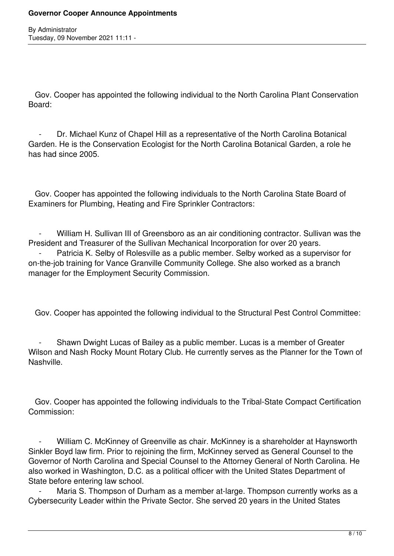Gov. Cooper has appointed the following individual to the North Carolina Plant Conservation Board:

Dr. Michael Kunz of Chapel Hill as a representative of the North Carolina Botanical Garden. He is the Conservation Ecologist for the North Carolina Botanical Garden, a role he has had since 2005.

 Gov. Cooper has appointed the following individuals to the North Carolina State Board of Examiners for Plumbing, Heating and Fire Sprinkler Contractors:

William H. Sullivan III of Greensboro as an air conditioning contractor. Sullivan was the President and Treasurer of the Sullivan Mechanical Incorporation for over 20 years.

Patricia K. Selby of Rolesville as a public member. Selby worked as a supervisor for on-the-job training for Vance Granville Community College. She also worked as a branch manager for the Employment Security Commission.

Gov. Cooper has appointed the following individual to the Structural Pest Control Committee:

Shawn Dwight Lucas of Bailey as a public member. Lucas is a member of Greater Wilson and Nash Rocky Mount Rotary Club. He currently serves as the Planner for the Town of Nashville.

 Gov. Cooper has appointed the following individuals to the Tribal-State Compact Certification Commission:

William C. McKinney of Greenville as chair. McKinney is a shareholder at Haynsworth Sinkler Boyd law firm. Prior to rejoining the firm, McKinney served as General Counsel to the Governor of North Carolina and Special Counsel to the Attorney General of North Carolina. He also worked in Washington, D.C. as a political officer with the United States Department of State before entering law school.

Maria S. Thompson of Durham as a member at-large. Thompson currently works as a Cybersecurity Leader within the Private Sector. She served 20 years in the United States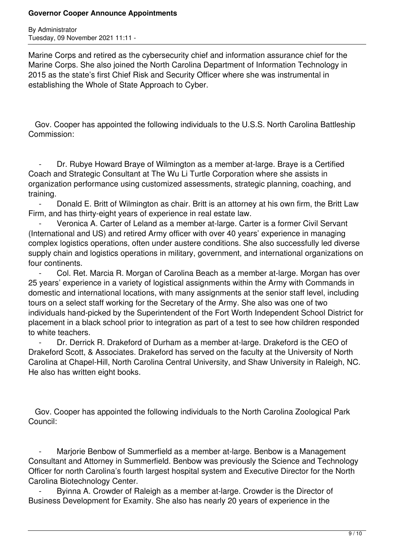By Administrator Tuesday, 09 November 2021 11:11 -

Marine Corps and retired as the cybersecurity chief and information assurance chief for the Marine Corps. She also joined the North Carolina Department of Information Technology in 2015 as the state's first Chief Risk and Security Officer where she was instrumental in establishing the Whole of State Approach to Cyber.

 Gov. Cooper has appointed the following individuals to the U.S.S. North Carolina Battleship Commission:

Dr. Rubye Howard Braye of Wilmington as a member at-large. Braye is a Certified Coach and Strategic Consultant at The Wu Li Turtle Corporation where she assists in organization performance using customized assessments, strategic planning, coaching, and training.

 - Donald E. Britt of Wilmington as chair. Britt is an attorney at his own firm, the Britt Law Firm, and has thirty-eight years of experience in real estate law.

Veronica A. Carter of Leland as a member at-large. Carter is a former Civil Servant (International and US) and retired Army officer with over 40 years' experience in managing complex logistics operations, often under austere conditions. She also successfully led diverse supply chain and logistics operations in military, government, and international organizations on four continents.

 - Col. Ret. Marcia R. Morgan of Carolina Beach as a member at-large. Morgan has over 25 years' experience in a variety of logistical assignments within the Army with Commands in domestic and international locations, with many assignments at the senior staff level, including tours on a select staff working for the Secretary of the Army. She also was one of two individuals hand-picked by the Superintendent of the Fort Worth Independent School District for placement in a black school prior to integration as part of a test to see how children responded to white teachers.

Dr. Derrick R. Drakeford of Durham as a member at-large. Drakeford is the CEO of Drakeford Scott, & Associates. Drakeford has served on the faculty at the University of North Carolina at Chapel-Hill, North Carolina Central University, and Shaw University in Raleigh, NC. He also has written eight books.

 Gov. Cooper has appointed the following individuals to the North Carolina Zoological Park Council:

Marjorie Benbow of Summerfield as a member at-large. Benbow is a Management Consultant and Attorney in Summerfield. Benbow was previously the Science and Technology Officer for north Carolina's fourth largest hospital system and Executive Director for the North Carolina Biotechnology Center.

Bvinna A. Crowder of Raleigh as a member at-large. Crowder is the Director of Business Development for Examity. She also has nearly 20 years of experience in the